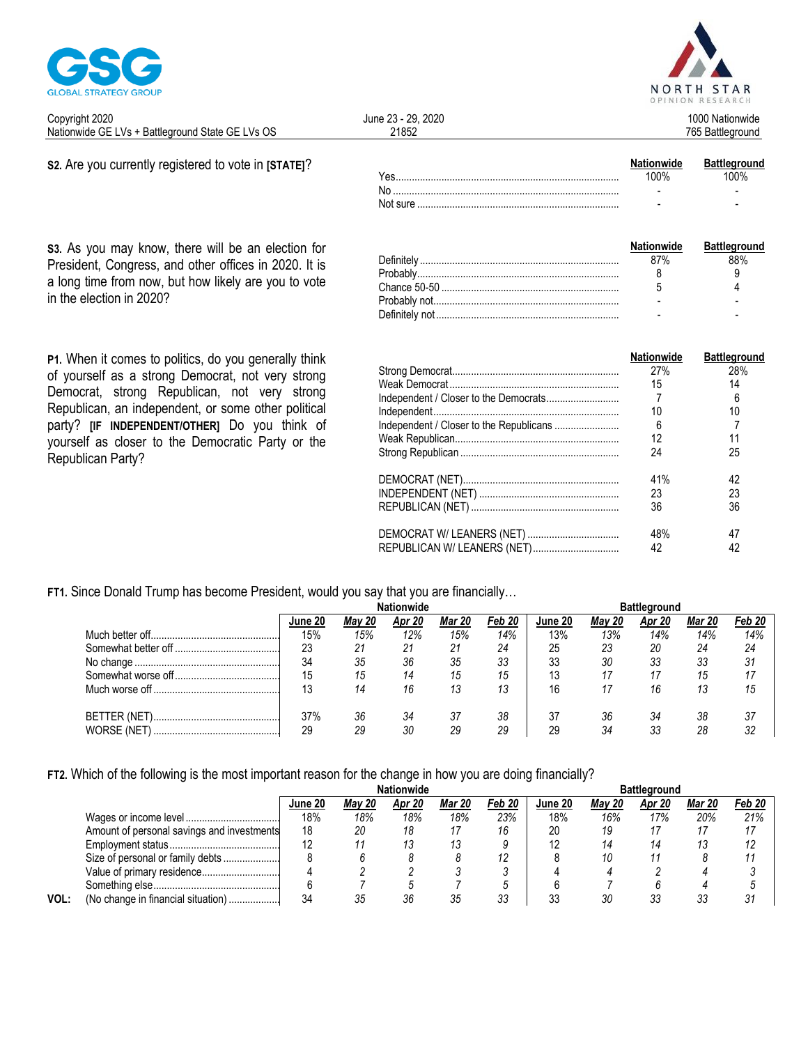

| NORTH STAR<br>OPINION RESEARCH |
|--------------------------------|
| 1000 Nationwide                |

765 Battleground

| Copyright 2020                                   | June 23 - 29, 2020 |  |
|--------------------------------------------------|--------------------|--|
| Nationwide GE LVs + Battleground State GE LVs OS | ?1852              |  |

#### S2. Are you currently registered to vote in [STATE]?

s3. As you may know, there will be an election for President, Congress, and other offices in 2020. It is a long time from now, but how likely are you to vote in the election in 2020?

P1. When it comes to politics, do you generally think of yourself as a strong Democrat, not very strong Democrat, strong Republican, not very strong Republican, an independent, or some other political party? [IF INDEPENDENT/OTHER] Do you think of yourself as closer to the Democratic Party or the Republican Party?

|          | <b>Nationwide</b>        | <b>Battleground</b> |
|----------|--------------------------|---------------------|
| ∕es.     |                          | ነበ%                 |
|          | $\overline{\phantom{0}}$ | -                   |
| Not sure | -                        | -                   |

| <b>Nationwide</b> | <b>Battleground</b> |
|-------------------|---------------------|
|                   |                     |
|                   |                     |
|                   |                     |
|                   |                     |
|                   |                     |

|                             | Nationwide | <b>Battleground</b> |
|-----------------------------|------------|---------------------|
|                             | 27%        | 28%                 |
|                             | 15         | 14                  |
|                             |            | 6                   |
|                             | 10         | 10                  |
|                             | 6          |                     |
|                             | 12         | 11                  |
|                             | 24         | 25                  |
|                             | 41%        | 42                  |
|                             | 23         | 23                  |
|                             | 36         | 36                  |
|                             | 48%        | 47                  |
| REPUBLICAN W/ LEANERS (NET) | 42         | 42                  |

#### FT1. Since Donald Trump has become President, would you say that you are financially...

|                   | lune 20 | May 20 | Apr 20 | Mar 20 | Feb 20 | June 20 | Mav 20 | Apr 20 | Mar 20 | Feb 20 |
|-------------------|---------|--------|--------|--------|--------|---------|--------|--------|--------|--------|
|                   | 15%     | 15%    | 12%    | 15%    | 14%    | 13%     | 13%    | 14%    | 14%    | 14%    |
|                   | 23      | 21     | 21     | 21     | 24     | 25      | 23     | 20     | 24     | 24     |
|                   | 34      | 35     | 36     | 35     | 33     | 33      | 30     | 33     | 33     | 31     |
|                   | 15      | 15     |        | 15     | 15     | 13      |        |        | 15     |        |
|                   | 10      | 14     | 16     | 13     | 13     | 16      |        | 16     | 13     | 15     |
|                   | 37%     | 36     | -34    |        | 38     |         | 36     | 34     | 38     | 37     |
| <b>WORSE (NET</b> | 29      | 29     | 30     | 29     | 29     | 29      | ?Δ     | วว     | 28     | 32     |

FT2. Which of the following is the most important reason for the change in how you are doing financially?

|      |                                            |         |               | Nationwide |               |        | <b>Battleground</b> |               |        |        |        |
|------|--------------------------------------------|---------|---------------|------------|---------------|--------|---------------------|---------------|--------|--------|--------|
|      |                                            | June 20 | <b>May 20</b> | Apr 20     | <b>Mar 20</b> | Feb 20 | June 20             | <b>May 20</b> | Apr 20 | Mar 20 | Feb 20 |
|      |                                            | 18%     | 18%           | 18%        | 18%           | 23%    | 18%                 | 16%           | 17%    | 20%    | 21%    |
|      | Amount of personal savings and investments | 18      | 20            |            |               |        | 20                  | 19            |        |        |        |
|      |                                            |         |               |            |               |        |                     | 14            |        |        |        |
|      | Size of personal or family debts           |         |               |            |               |        |                     | 10            |        |        |        |
|      | Value of primary residence                 |         |               |            |               |        |                     |               |        |        |        |
|      |                                            |         |               |            |               |        |                     |               |        |        |        |
| VOL: | (No change in financial situation)         | 34      |               |            |               |        |                     |               | วว     |        | 31     |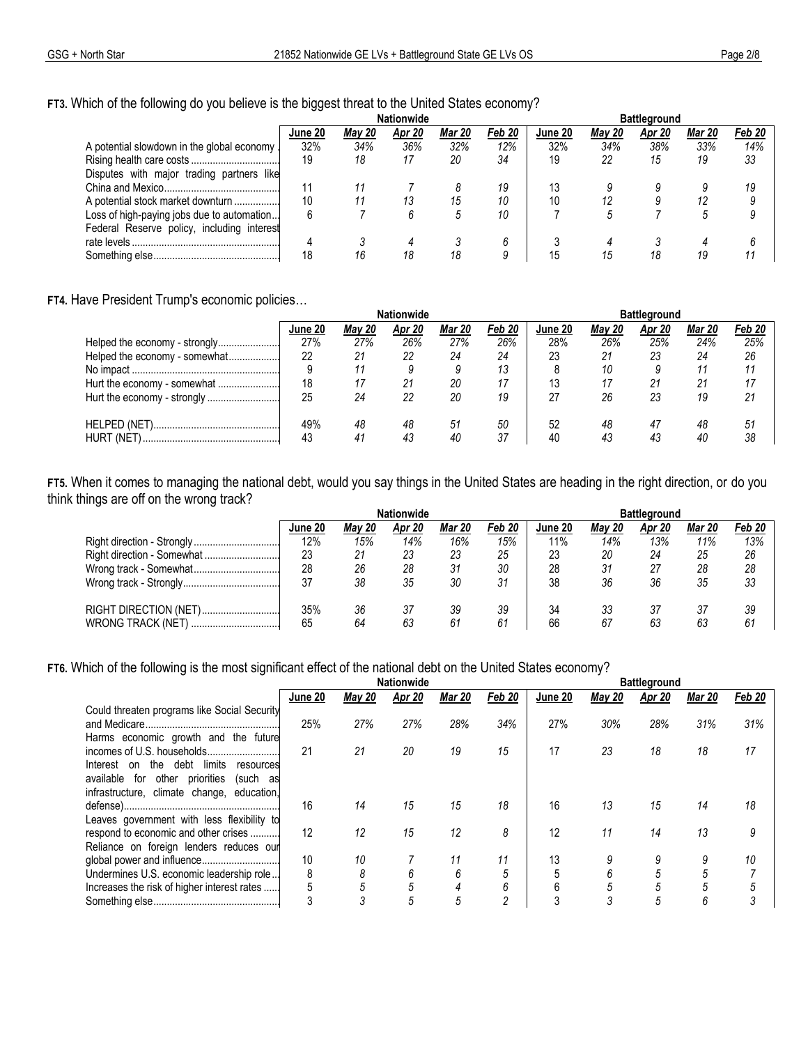### FT3. Which of the following do you believe is the biggest threat to the United States economy?

|                                             | <b>Nationwide</b> |        |        |              |        | <b>Battleground</b> |               |        |               |        |
|---------------------------------------------|-------------------|--------|--------|--------------|--------|---------------------|---------------|--------|---------------|--------|
|                                             | June 20           | May 20 | Apr 20 | Mar 20       | Feb 20 | June 20             | <b>May 20</b> | Apr 20 | <b>Mar 20</b> | Feb 20 |
| A potential slowdown in the global economy. | 32%               | 34%    | 36%    | 32%          | 12%    | 32%                 | 34%           | 38%    | 33%           | 14%    |
|                                             | 19                | 18     |        | 20           | 34     | 19                  | 22            | 15     | 19            | 33     |
| Disputes with major trading partners like   |                   |        |        |              |        |                     |               |        |               |        |
|                                             |                   |        |        |              | 19     | 13                  |               |        |               | 19     |
| A potential stock market downturn           | 10                |        | 13     | 15           | 10     | 10                  |               |        |               |        |
| Loss of high-paying jobs due to automation  | 6                 |        |        | <sup>5</sup> | 10     |                     |               |        |               |        |
| Federal Reserve policy, including interest  |                   |        |        |              |        |                     |               |        |               |        |
|                                             | 4                 |        |        |              |        |                     |               |        |               |        |
|                                             | 18                | 16     | 18     | 18           |        |                     |               | 18     |               |        |

#### FT4. Have President Trump's economic policies...

|                               |         |        | <b>Nationwide</b> |        |        | <b>Battleground</b> |        |        |               |        |
|-------------------------------|---------|--------|-------------------|--------|--------|---------------------|--------|--------|---------------|--------|
|                               | June 20 | Mav 20 | Apr 20            | Mar 20 | Feb 20 | June 20             | May 20 | Apr 20 | <b>Mar 20</b> | Feb 20 |
| Helped the economy - strongly | 27%     | 27%    | 26%               | 27%    | 26%    | 28%                 | 26%    | 25%    | 24%           | 25%    |
| Helped the economy - somewhat | 22      | 21     | 22                | 24     | 24     | 23                  | 21     | 23     | 24            | 26     |
|                               |         |        |                   |        | 13     |                     | 10     |        |               |        |
| Hurt the economy - somewhat   | 18      |        |                   | 20     | 17     | 13                  |        | 21     | 21            |        |
|                               | 25      | 24     | 22                | 20     | 19     | 27                  | 26     | 23     | 19            | 21     |
|                               | 49%     | 48     | 48                | 51     | 50     | 52                  | 48     | 47     | 48            | 51     |
| <b>HURT (NET</b>              | 43      | 41     |                   | 40     | 37     | 40                  | 43     | 43     | 40            | 38     |

FT5. When it comes to managing the national debt, would you say things in the United States are heading in the right direction, or do you think things are off on the wrong track?  $\ddotsc$  $\ddot{\phantom{0}}$ 

| <b>Nationwide</b> |        |        |               |        | <b>Battleground</b> |               |        |               |        |
|-------------------|--------|--------|---------------|--------|---------------------|---------------|--------|---------------|--------|
| June 20           | May 20 | Apr 20 | <b>Mar 20</b> | Feb 20 | June 20             | <b>May 20</b> | Apr 20 | <b>Mar 20</b> | Feb 20 |
| 12%               | 15%    | 14%    | 16%           | 15%    | 11%                 | 14%           | 13%    | 11%           | 13%    |
| 23                | 21     | 23     | 23            | 25     | 23                  | 20            | 24     | 25            | 26     |
| 28                | 26     | 28     | 31            | 30     | 28                  | 31            | 27     | 28            | 28     |
| 37                | 38     | 35     | 30            | 31     | 38                  | 36            | 36     | 35            | 33     |
|                   |        |        |               |        |                     |               |        |               |        |
| 35%               | 36     | 37     | 39            | 39     | 34                  | 33            | 37     |               | 39     |
| 65                | 64     | 63     | 61            | 61     | 66                  | 67            | 63     | 63            | 61     |

### FT6. Which of the following is the most significant effect of the national debt on the United States economy?

|                                                                                                                                                     |         |               | <b>Nationwide</b> |               |                | <b>Battleground</b> |               |        |               |        |
|-----------------------------------------------------------------------------------------------------------------------------------------------------|---------|---------------|-------------------|---------------|----------------|---------------------|---------------|--------|---------------|--------|
|                                                                                                                                                     | June 20 | <b>May 20</b> | <b>Apr 20</b>     | <b>Mar 20</b> | Feb 20         | June 20             | <b>May 20</b> | Apr 20 | <b>Mar 20</b> | Feb 20 |
| Could threaten programs like Social Security<br>Harms economic growth and the future                                                                | 25%     | 27%           | 27%               | 28%           | 34%            | 27%                 | 30%           | 28%    | 31%           | 31%    |
| debt<br>limits<br>the<br>Interest<br>on<br>resources<br>for other priorities<br>available<br>(such as<br>infrastructure, climate change, education, | 21      | 21            | 20                | 19            | 15             | 17                  | 23            | 18     | 18            | 17     |
| Leaves government with less flexibility to                                                                                                          | 16      | 14            | 15                | 15            | 18             | 16                  | 13            | 15     | 14            | 18     |
| respond to economic and other crises<br>Reliance on foreign lenders reduces our                                                                     | 12      | 12            | 15                | 12            | 8              | 12                  | 11            | 14     | 13            | 9      |
|                                                                                                                                                     | 10      | 10            |                   | 11            | 11             | 13                  |               | 9      |               | 10     |
| Undermines U.S. economic leadership role                                                                                                            | 8       | 8             | h                 | 6             | 5              |                     |               | 5      |               |        |
| Increases the risk of higher interest rates                                                                                                         |         | 5             |                   |               | 6              | 6                   |               | 5      |               |        |
|                                                                                                                                                     |         |               | 5                 | 5             | $\mathfrak{p}$ |                     |               | 5      | 6             |        |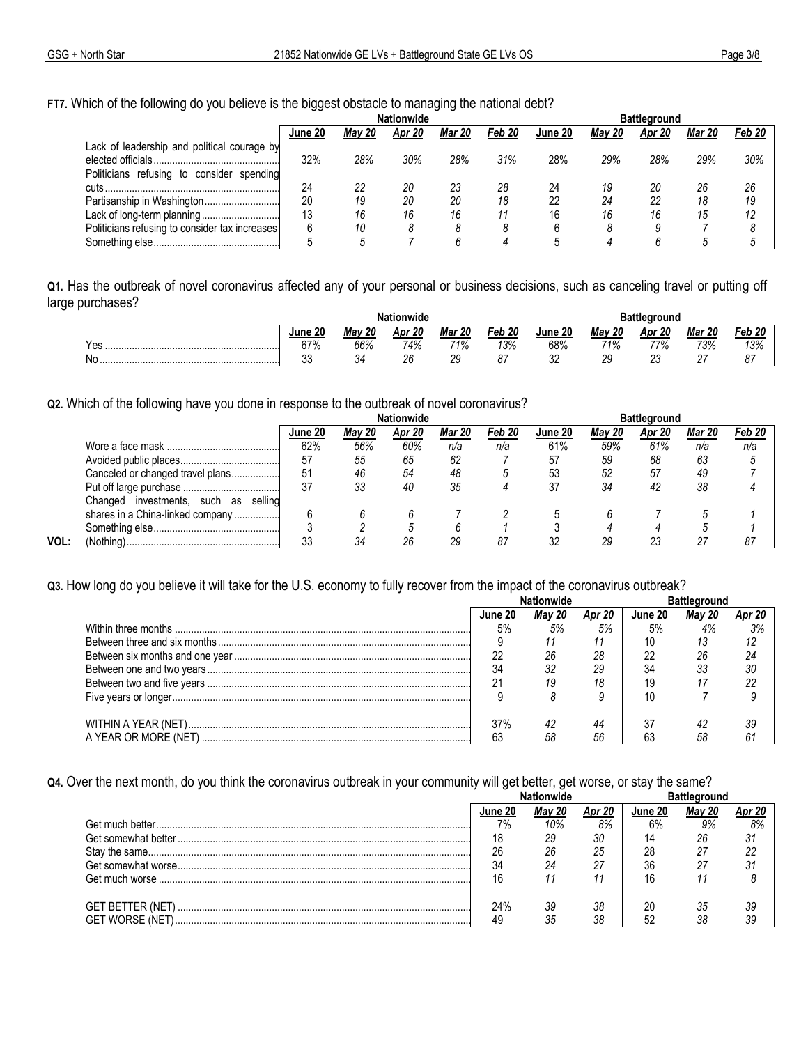FT7. Which of the following do you believe is the biggest obstacle to managing the national debt?

|                                                | <b>Nationwide</b> |               |        |               |        | <b>Battleground</b> |        |        |               |        |
|------------------------------------------------|-------------------|---------------|--------|---------------|--------|---------------------|--------|--------|---------------|--------|
|                                                | June 20           | <b>May 20</b> | Apr 20 | <b>Mar 20</b> | Feb 20 | June 20             | Mav 20 | Apr 20 | <b>Mar 20</b> | Feb 20 |
| Lack of leadership and political courage by    |                   |               |        |               |        |                     |        |        |               |        |
|                                                | 32%               | 28%           | 30%    | 28%           | 31%    | 28%                 | 29%    | 28%    | 29%           | 30%    |
| Politicians refusing to consider spending      |                   |               |        |               |        |                     |        |        |               |        |
| cuts.                                          | 24                | 22            | 20     | 23            | 28     | 24                  | 19     | 20     | 26            | 26     |
| Partisanship in Washington                     | 20                | 19            | 20     | 20            | 18     | 22                  | 24     | 22     | 18            | 19     |
|                                                | 13                | 16            | 16     | 16            | 11     | 16                  | 16     | 16     | 15            | 12     |
| Politicians refusing to consider tax increases |                   | 10            |        |               |        |                     |        |        |               |        |
|                                                |                   |               |        |               |        |                     |        |        |               |        |

Q1. Has the outbreak of novel coronavirus affected any of your personal or business decisions, such as canceling travel or putting off large purchases?  $\ddot{\phantom{a}}$ 

|          | Nationwide       |               |                |               |            | <b>Battleground</b> |                   |                    |               |                        |  |
|----------|------------------|---------------|----------------|---------------|------------|---------------------|-------------------|--------------------|---------------|------------------------|--|
|          | June 20          | <b>Mav 20</b> | 20<br>Apr      | <b>Mar 20</b> | -20<br>Feb | June 20             | <b>Mav 20</b>     | Apr 20             | <b>Mar 20</b> | 20<br>Feb              |  |
| Yes<br>. | C70/<br>υı<br>70 | 66%           | 74%            | 71%           | 13%        | 68%                 | 71%               | 77%                | 73%           | 120.<br><i>0 \ ل</i> ا |  |
| No       | $\sim$<br>vu     | $\sim$<br>34  | ባድ<br><u>L</u> | 29<br>__      |            | n r<br>ັບ∠          | or<br>້<br>$\sim$ | $\sim$<br>∠∪<br>__ | ~-            | 07<br>U,               |  |

Q2. Which of the following have you done in response to the outbreak of novel coronavirus?

|      |                                               | <b>Nationwide</b> |        |        |        |        | <b>Battleground</b> |               |        |               |        |  |
|------|-----------------------------------------------|-------------------|--------|--------|--------|--------|---------------------|---------------|--------|---------------|--------|--|
|      |                                               | June 20           | Mav 20 | Apr 20 | Mar 20 | Feb 20 | June 20             | <b>May 20</b> | Apr 20 | <b>Mar 20</b> | Feb 20 |  |
|      |                                               | 62%               | 56%    | 60%    | n/a    | n/a    | 61%                 | 59%           | 61%    | n/a           | n/a    |  |
|      |                                               | 57                | 55     | 65     | 62     |        | 57                  | 59            | 68     | 63            |        |  |
|      | Canceled or changed travel plans              | 5 <sup>1</sup>    | 46     | 54     | 48     |        | 53                  | 52            | 57     | 49            |        |  |
|      |                                               | 37                | 33     | 40     | 35     |        | 37                  | 34            | 42     | 38            |        |  |
|      | selling<br>Changed investments,<br>such<br>as |                   |        |        |        |        |                     |               |        |               |        |  |
|      | shares in a China-linked company              |                   |        |        |        |        |                     |               |        |               |        |  |
|      |                                               |                   |        |        |        |        |                     |               |        |               |        |  |
| VOL: | (Nothing).                                    | 33                | 34     | 26     | 29     | -87    | 32                  | 29            | 23     |               | 87     |  |

Q3. How long do you believe it will take for the U.S. economy to fully recover from the impact of the coronavirus outbreak?

| June 20 |  |    | June 20 |  |  |  |
|---------|--|----|---------|--|--|--|
|         |  | 5% |         |  |  |  |
|         |  |    |         |  |  |  |
|         |  | 28 |         |  |  |  |
|         |  | 29 |         |  |  |  |
|         |  |    |         |  |  |  |
|         |  |    |         |  |  |  |
| 37%     |  |    |         |  |  |  |
|         |  | 56 | b.      |  |  |  |

Q4. Over the next month, do you think the coronavirus outbreak in your community will get better, get worse, or stay the same?

|                        | .finmwine |     |    |         |     |    |  |
|------------------------|-----------|-----|----|---------|-----|----|--|
|                        |           |     |    | June 20 | Mav |    |  |
|                        | 7%        | 10% | 8% | 6%      | 9%  | 8% |  |
|                        | 18        | 29  | 30 | 14      | 26  |    |  |
|                        | 26        |     | 25 | 28      | 27  |    |  |
|                        | 34        |     |    | 36      |     |    |  |
|                        |           |     |    | 16      |     |    |  |
|                        | 24%       | 39  | 38 | 20      | 35  | 39 |  |
| <b>GET WORSE (NET)</b> |           |     | 38 | 50      |     |    |  |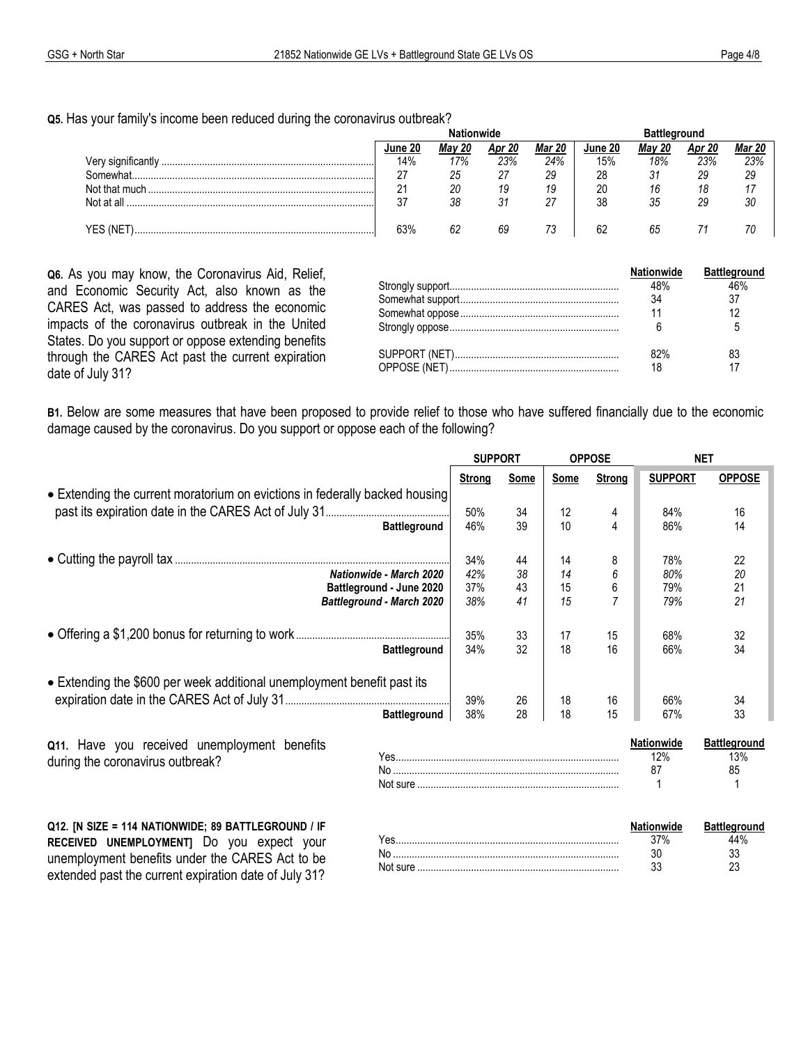**Q5.** Has your family's income been reduced during the coronavirus outbreak?

|               | June | 20<br>Mav | 20<br>Apr | Mar<br>20 | June 20 | 20<br>Mav | 20<br>Apı | <b>Mar 20</b> |
|---------------|------|-----------|-----------|-----------|---------|-----------|-----------|---------------|
|               | 14%  | 17%       | 23%       | 24%       | 15%     | 18%       | 23%       | 23%           |
| הAmewhat      | 27   | 25        | 27        | 29        | 28      | 31        | 29        | 29            |
| Not that much | 21   | 20        | 19        | 19        | 20      | 16        |           |               |
| Not at all    | 27   | 38        | 31        |           | 38      | 35        | 29        |               |
|               |      |           |           |           |         |           |           |               |
|               | 63%  |           | 69        |           | A.      | ხე        |           |               |

**Q6.** As you may know, the Coronavirus Aid, Relief, and Economic Security Act, also known as the CARES Act, was passed to address the economic impacts of the coronavirus outbreak in the United States. Do you support or oppose extending benefits through the CARES Act past the current expiration date of July 31?

| $32\%$ |  |
|--------|--|
|        |  |

**B1.** Below are some measures that have been proposed to provide relief to those who have suffered financially due to the economic damage caused by the coronavirus. Do you support or oppose each of the following?

|                                                                             |                     | <b>SUPPORT</b> |      |      | <b>OPPOSE</b> | <b>NET</b>     |                     |  |
|-----------------------------------------------------------------------------|---------------------|----------------|------|------|---------------|----------------|---------------------|--|
|                                                                             |                     | Strong         | Some | Some | <b>Strong</b> | <b>SUPPORT</b> | <b>OPPOSE</b>       |  |
| • Extending the current moratorium on evictions in federally backed housing |                     |                |      |      |               |                |                     |  |
|                                                                             |                     | 50%            | 34   | 12   |               | 84%            | 16                  |  |
|                                                                             | <b>Battleground</b> | 46%            | 39   | 10   |               | 86%            | 14                  |  |
|                                                                             |                     | 34%            | 44   | 14   | 8             | 78%            | 22                  |  |
| Nationwide - March 2020                                                     |                     | 42%            | 38   | 14   | 6             | 80%            | 20                  |  |
| Battleground - June 2020                                                    |                     | 37%            | 43   | 15   | 6             | 79%            | 21                  |  |
| <b>Battleground - March 2020</b>                                            |                     | 38%            | 41   | 15   |               | 79%            | 21                  |  |
|                                                                             |                     | 35%            | 33   | 17   | 15            | 68%            | 32                  |  |
|                                                                             | <b>Battleground</b> | 34%            | 32   | 18   | 16            | 66%            | 34                  |  |
| • Extending the \$600 per week additional unemployment benefit past its     |                     |                |      |      |               |                |                     |  |
|                                                                             |                     | 39%            | 26   | 18   | 16            | 66%            | 34                  |  |
|                                                                             | <b>Battleground</b> | 38%            | 28   | 18   | 15            | 67%            | 33                  |  |
| Q11. Have you received unemployment benefits                                |                     |                |      |      |               | Nationwide     | <b>Battleground</b> |  |
| during the coronavirus outbreak?                                            |                     |                |      |      |               | 12%            | 13%                 |  |
|                                                                             |                     |                |      |      |               | 87             | 85                  |  |

**Q12. [N SIZE = 114 NATIONWIDE; 89 BATTLEGROUND / IF RECEIVED UNEMPLOYMENT]** Do you expect your unemployment benefits under the CARES Act to be extended past the current expiration date of July 31?

|          |     | <u>ומווח</u> |  |
|----------|-----|--------------|--|
| Y es     | 37% | 14%          |  |
| Νc       | งบ  | ^^<br>◡      |  |
| Not sure | vu  | ^^<br>∼      |  |
|          |     |              |  |

Not sure ................................................................................................ 1 ................................ 1 .....................................................................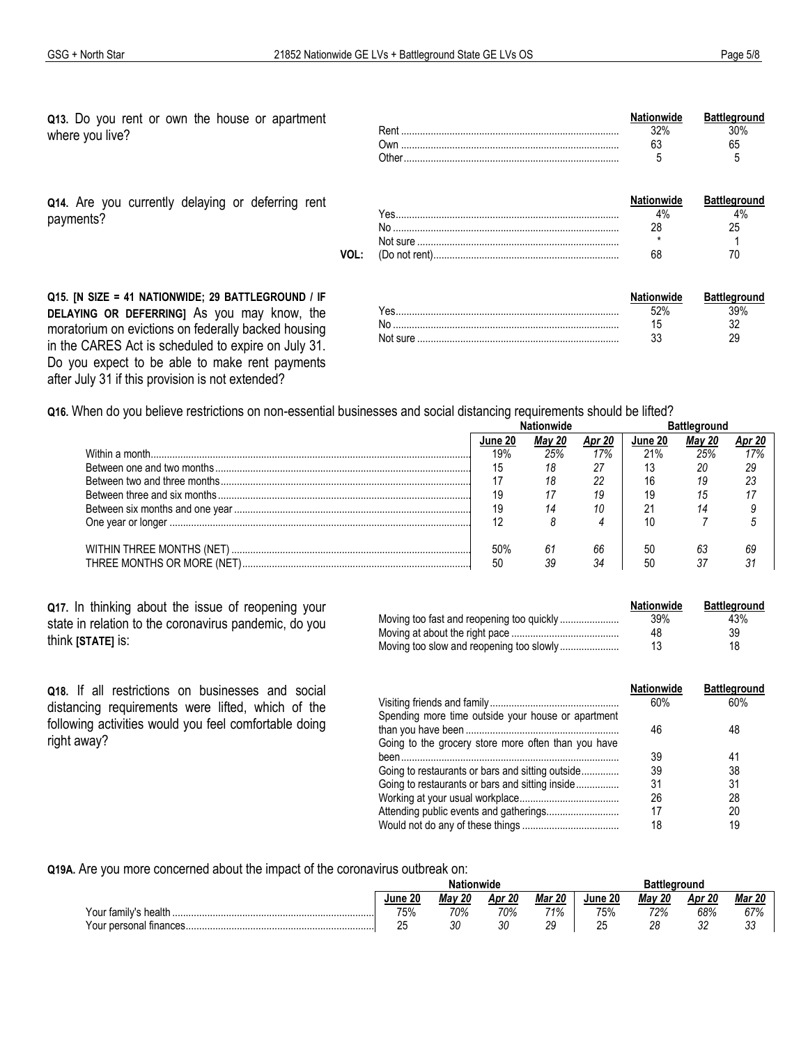Q13. Do you rent or own the house or apartment where you live?

Q14. Are you currently delaying or deferring rent payments?

| - |  |
|---|--|

 $\mathbf{A}$ 

 $\ddot{\phantom{0}}$ 

- 44

|     |               | пе |  |
|-----|---------------|----|--|
|     | $\alpha$<br>. |    |  |
|     | .             |    |  |
|     |               |    |  |
| VOL |               |    |  |

Q15. [N SIZE = 41 NATIONWIDE; 29 BATTLEGROUND / IF DELAYING OR DEFERRING] As you may know, the moratorium on evictions on federally backed housing in the CARES Act is scheduled to expire on July 31. Do you expect to be able to make rent payments after July 31 if this provision is not extended?

| ΆS.        |  |
|------------|--|
|            |  |
| INOT SLITE |  |

Q16. When do you believe restrictions on non-essential businesses and social distancing requirements should be lifted?

|     |     |     | June 20 | mav |           |  |
|-----|-----|-----|---------|-----|-----------|--|
| 19% | 25% | 17% | 21%     | 25% |           |  |
|     | 18  | 27  |         | 20  |           |  |
|     | 18  | 22  |         |     | ົດດ<br>دے |  |
| 19  |     | 19  |         |     |           |  |
| 19  |     |     |         |     |           |  |
| 12  |     |     |         |     |           |  |
| 50% | 61  | 66  | 50      | 63  |           |  |
| -50 |     | 34  | 50      |     |           |  |

Q17. In thinking about the issue of reopening your state in relation to the coronavirus pandemic, do you think [STATE] is:

Q18. If all restrictions on businesses and social distancing requirements were lifted, which of the following activities would you feel comfortable doing

right away?

| <b>Nationwide</b> | Battleground |
|-------------------|--------------|
| 39%               | 43%          |
| 48                | 39           |
| 13                | 18           |

|                                                     | <b>Nationwide</b> | <b>Battleground</b> |
|-----------------------------------------------------|-------------------|---------------------|
|                                                     | 60%               | 60%                 |
| Spending more time outside your house or apartment  | 46                | 48                  |
| Going to the grocery store more often than you have |                   |                     |
|                                                     | 39                | 41                  |
| Going to restaurants or bars and sitting outside    | 39                | 38                  |
| Going to restaurants or bars and sitting inside     | 31                | 31                  |
|                                                     | 26                | 28                  |
| Attending public events and gatherings              | 17                | 20                  |
|                                                     | 18                | 19                  |
|                                                     |                   |                     |

Q19A. Are you more concerned about the impact of the coronavirus outbreak on:

|                        | Nationwide |               |        |               | Battleground |               |           |               |
|------------------------|------------|---------------|--------|---------------|--------------|---------------|-----------|---------------|
|                        | June 20    | <b>Mav 20</b> | Apr 20 | <b>Mar 20</b> | June 20      | <b>Mav 20</b> | 20<br>Apr | <b>Mar 20</b> |
| Your family's health   | 75%        | 70%           | 70%    | 71%           | 75%          | 72%           | 68%       | 0.70<br>07%   |
| Your personal finances | ້          | ንስ<br>vu      | 30     | ∩∩<br>ت       | つに<br>Δu     | 28            | n n<br>UL | n r<br>ບບ     |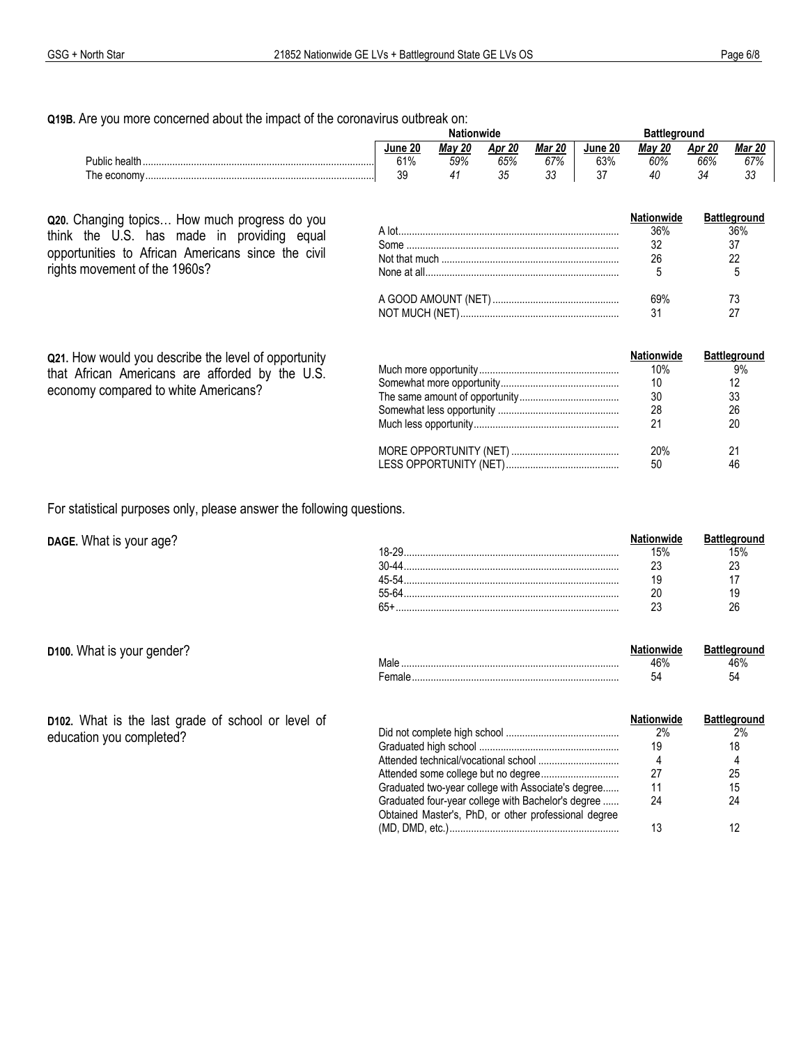Q19B. Are you more concerned about the impact of the coronavirus outbreak on:

|               | Nationwide |               |          | าround        |         |               |         |               |
|---------------|------------|---------------|----------|---------------|---------|---------------|---------|---------------|
|               | June 20    | <b>Mav 20</b> | Apr 20   | <b>Mar 20</b> | June 20 | <b>Mav 20</b> | Apr 20  | <b>Mar 20</b> |
| Public health | 61%        | 59%           | 65%      | 67%           | 63%     | 60%           | 66%     | 67%           |
| The economy   | ٩q<br>vu   |               | つに<br>υu | $\sim$<br>υu  | $\sim$  | 40            | ົ<br>34 | $\sim$<br>ັບປ |

 $\mathbb{R}^2$ 

Q20. Changing topics... How much progress do you think the U.S. has made in providing equal opportunities to African Americans since the civil rights movement of the 1960s?

| <b>Nationwide</b> | <b>Battleground</b> |
|-------------------|---------------------|
| 36%               | 36%                 |
|                   |                     |
| 26                |                     |
|                   |                     |
| 69%               |                     |
|                   |                     |

| Q21. How would you describe the level of opportunity<br>that African Americans are afforded by the U.S.<br>economy compared to white Americans? | <b>Nationwide</b><br>10%<br>10<br>30<br>28<br>21 | <b>Battleground</b><br>9%<br>33<br>26<br>20 |
|-------------------------------------------------------------------------------------------------------------------------------------------------|--------------------------------------------------|---------------------------------------------|
|                                                                                                                                                 | 20%<br>50                                        | 46                                          |

 $Mol<sub>2</sub>$ 

For statistical purposes only, please answer the following questions.

DAGE. What is your age?

|         |     | Battleground |
|---------|-----|--------------|
| $18-29$ | 15% |              |
|         |     |              |
|         |     |              |
| 55-64   |     |              |
|         |     |              |
|         |     |              |

Nationwide

 $AC0$ 

**Battleground** 

46% 54

|  |  |  | D100. What is your gender? |
|--|--|--|----------------------------|
|--|--|--|----------------------------|

| $\blacksquare$ |  |
|----------------|--|
|                |  |
|                |  |
|                |  |

D102. What is the last grade of school or level of education you completed?

|                                                      | <b>Nationwide</b> | <b>Battleground</b> |
|------------------------------------------------------|-------------------|---------------------|
|                                                      | 2%                | 2%                  |
|                                                      | 19                | 18                  |
|                                                      | 4                 | 4                   |
|                                                      | 27                | 25                  |
| Graduated two-year college with Associate's degree   | 11                | 15                  |
| Graduated four-year college with Bachelor's degree   | 24                | 24                  |
| Obtained Master's, PhD, or other professional degree |                   |                     |
|                                                      | 13                |                     |
|                                                      |                   |                     |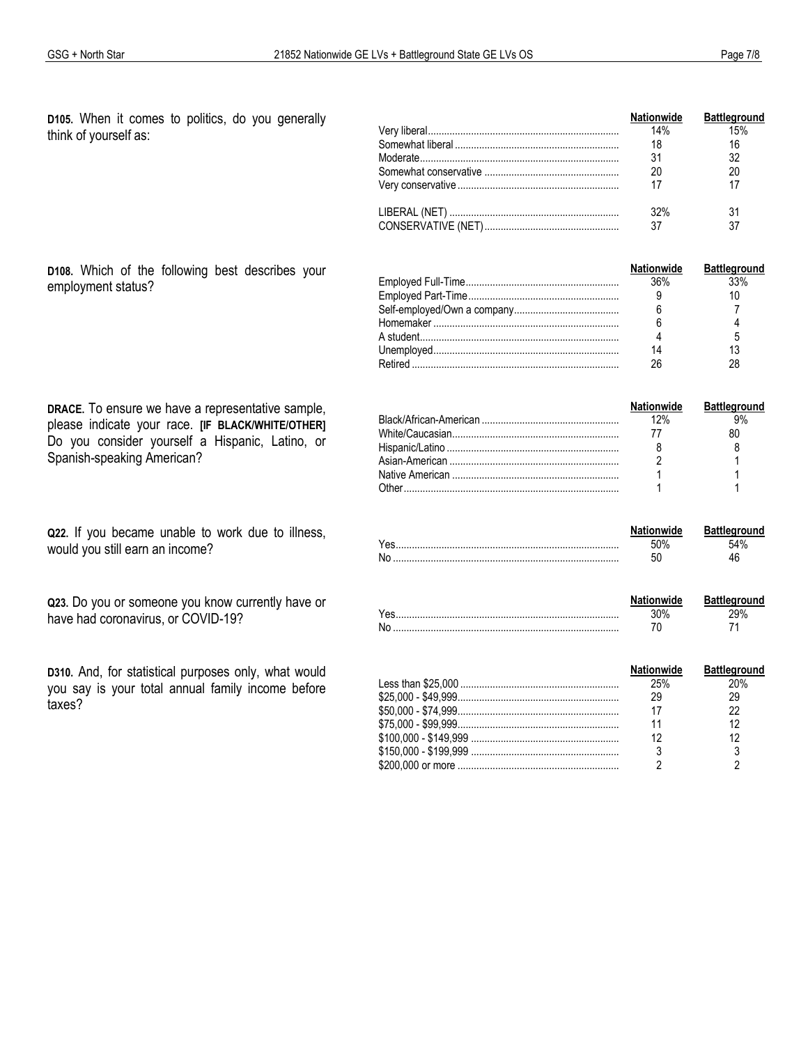D105. When it comes to politics, do you generally think of yourself as:

| <b>Nationwide</b> | <b>Battleground</b> |
|-------------------|---------------------|
| $14\%$            | 15%                 |
| 18                | 16                  |
| 31                | 32                  |
| 20                | 20                  |
|                   | 17                  |
| 32%               | 31                  |
| -37               | 37                  |

D108. Which of the following best describes your employment status?

| DRACE. To ensure we have a representative sample, |  |  |  |  |  |
|---------------------------------------------------|--|--|--|--|--|
| please indicate your race. [IF BLACK/WHITE/OTHER] |  |  |  |  |  |
| Do you consider yourself a Hispanic, Latino, or   |  |  |  |  |  |
| Spanish-speaking American?                        |  |  |  |  |  |

Q22. If you became unable to work due to illness, would you still earn an income?

Q23. Do you or someone you know currently have or have had coronavirus, or COVID-19?

D310. And, for statistical purposes only, what would you say is your total annual family income before taxes?

| <b>Nationwide</b> | <b>Battleground</b> |
|-------------------|---------------------|
| 36%               | 33%                 |
|                   |                     |
|                   |                     |
|                   |                     |
|                   |                     |
|                   |                     |
|                   |                     |

| <b>Nationwide</b> | <b>Battleground</b> |
|-------------------|---------------------|
| 12%               | 9%                  |
|                   |                     |
|                   |                     |
|                   |                     |
|                   |                     |
|                   |                     |

|  | <b>Battleground</b> |
|--|---------------------|
|  |                     |
|  |                     |

| <b>Nationwide</b> | <b>Battleground</b> |
|-------------------|---------------------|
|                   |                     |
|                   |                     |

| <b>Nationwide</b> | <b>Battleground</b> |
|-------------------|---------------------|
| 25%               | 20%                 |
| 29                | 29                  |
|                   |                     |
|                   |                     |
|                   |                     |
|                   |                     |
|                   |                     |